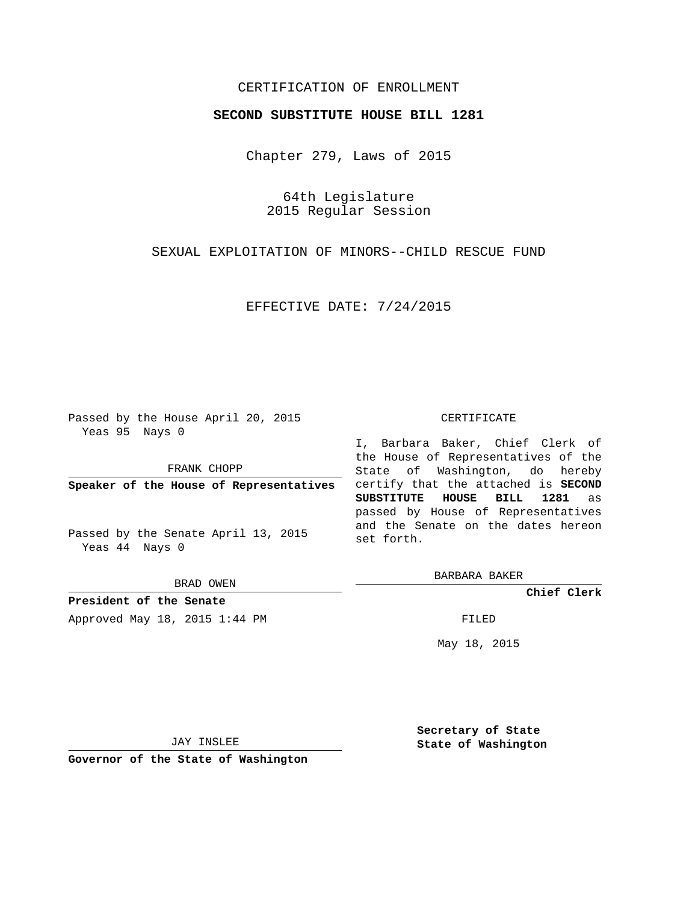# CERTIFICATION OF ENROLLMENT

### **SECOND SUBSTITUTE HOUSE BILL 1281**

Chapter 279, Laws of 2015

64th Legislature 2015 Regular Session

SEXUAL EXPLOITATION OF MINORS--CHILD RESCUE FUND

EFFECTIVE DATE: 7/24/2015

Passed by the House April 20, 2015 Yeas 95 Nays 0

FRANK CHOPP

**Speaker of the House of Representatives**

Passed by the Senate April 13, 2015 Yeas 44 Nays 0

BRAD OWEN

**President of the Senate** Approved May 18, 2015 1:44 PM FILED

#### CERTIFICATE

I, Barbara Baker, Chief Clerk of the House of Representatives of the State of Washington, do hereby certify that the attached is **SECOND SUBSTITUTE HOUSE BILL 1281** as passed by House of Representatives and the Senate on the dates hereon set forth.

BARBARA BAKER

**Chief Clerk**

May 18, 2015

JAY INSLEE

**Governor of the State of Washington**

**Secretary of State State of Washington**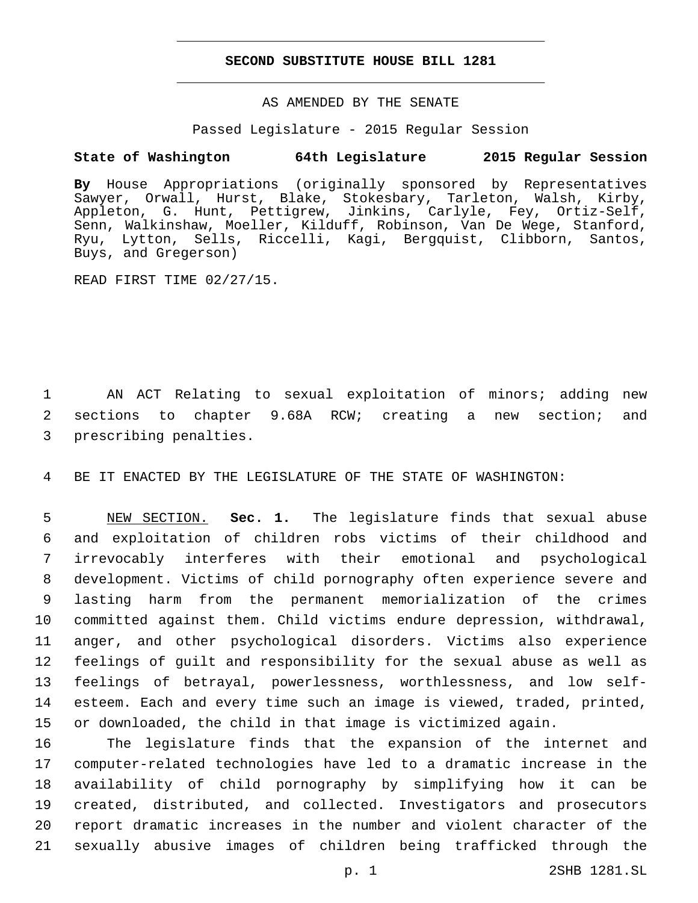### **SECOND SUBSTITUTE HOUSE BILL 1281**

# AS AMENDED BY THE SENATE

#### Passed Legislature - 2015 Regular Session

# **State of Washington 64th Legislature 2015 Regular Session**

**By** House Appropriations (originally sponsored by Representatives Sawyer, Orwall, Hurst, Blake, Stokesbary, Tarleton, Walsh, Kirby, Appleton, G. Hunt, Pettigrew, Jinkins, Carlyle, Fey, Ortiz-Self, Senn, Walkinshaw, Moeller, Kilduff, Robinson, Van De Wege, Stanford, Ryu, Lytton, Sells, Riccelli, Kagi, Bergquist, Clibborn, Santos, Buys, and Gregerson)

READ FIRST TIME 02/27/15.

 AN ACT Relating to sexual exploitation of minors; adding new sections to chapter 9.68A RCW; creating a new section; and 3 prescribing penalties.

BE IT ENACTED BY THE LEGISLATURE OF THE STATE OF WASHINGTON:

 NEW SECTION. **Sec. 1.** The legislature finds that sexual abuse and exploitation of children robs victims of their childhood and irrevocably interferes with their emotional and psychological development. Victims of child pornography often experience severe and lasting harm from the permanent memorialization of the crimes committed against them. Child victims endure depression, withdrawal, anger, and other psychological disorders. Victims also experience feelings of guilt and responsibility for the sexual abuse as well as feelings of betrayal, powerlessness, worthlessness, and low self- esteem. Each and every time such an image is viewed, traded, printed, or downloaded, the child in that image is victimized again.

 The legislature finds that the expansion of the internet and computer-related technologies have led to a dramatic increase in the availability of child pornography by simplifying how it can be created, distributed, and collected. Investigators and prosecutors report dramatic increases in the number and violent character of the sexually abusive images of children being trafficked through the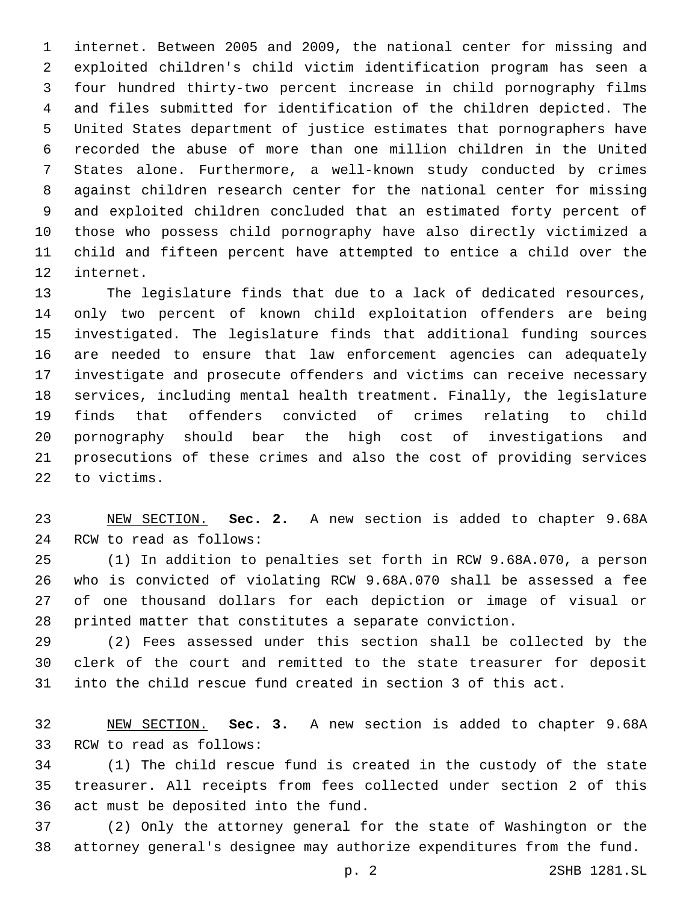internet. Between 2005 and 2009, the national center for missing and exploited children's child victim identification program has seen a four hundred thirty-two percent increase in child pornography films and files submitted for identification of the children depicted. The United States department of justice estimates that pornographers have recorded the abuse of more than one million children in the United States alone. Furthermore, a well-known study conducted by crimes against children research center for the national center for missing and exploited children concluded that an estimated forty percent of those who possess child pornography have also directly victimized a child and fifteen percent have attempted to entice a child over the 12 internet.

 The legislature finds that due to a lack of dedicated resources, only two percent of known child exploitation offenders are being investigated. The legislature finds that additional funding sources are needed to ensure that law enforcement agencies can adequately investigate and prosecute offenders and victims can receive necessary services, including mental health treatment. Finally, the legislature finds that offenders convicted of crimes relating to child pornography should bear the high cost of investigations and prosecutions of these crimes and also the cost of providing services 22 to victims.

 NEW SECTION. **Sec. 2.** A new section is added to chapter 9.68A 24 RCW to read as follows:

 (1) In addition to penalties set forth in RCW 9.68A.070, a person who is convicted of violating RCW 9.68A.070 shall be assessed a fee of one thousand dollars for each depiction or image of visual or printed matter that constitutes a separate conviction.

 (2) Fees assessed under this section shall be collected by the clerk of the court and remitted to the state treasurer for deposit into the child rescue fund created in section 3 of this act.

 NEW SECTION. **Sec. 3.** A new section is added to chapter 9.68A 33 RCW to read as follows:

 (1) The child rescue fund is created in the custody of the state treasurer. All receipts from fees collected under section 2 of this 36 act must be deposited into the fund.

 (2) Only the attorney general for the state of Washington or the attorney general's designee may authorize expenditures from the fund.